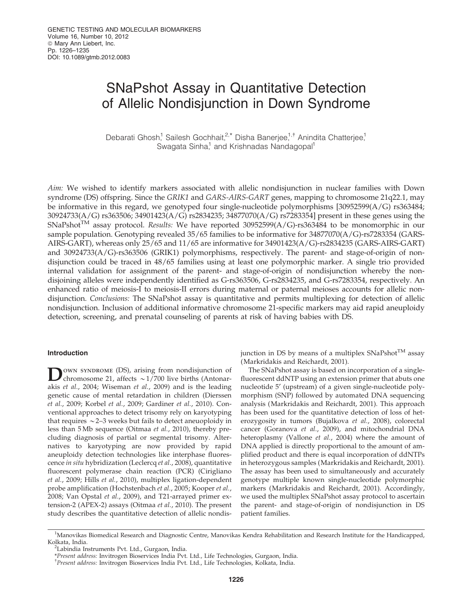# SNaPshot Assay in Quantitative Detection of Allelic Nondisjunction in Down Syndrome

Debarati Ghosh,<sup>1</sup> Sailesh Gochhait,<sup>2,\*</sup> Disha Banerjee,<sup>1,†</sup> Anindita Chatterjee,<sup>1</sup> Swagata Sinha,<sup>1</sup> and Krishnadas Nandagopal<sup>1</sup>

*Aim:* We wished to identify markers associated with allelic nondisjunction in nuclear families with Down syndrome (DS) offspring. Since the *GRIK1* and *GARS-AIRS-GART* genes, mapping to chromosome 21q22.1, may be informative in this regard, we genotyped four single-nucleotide polymorphisms [30952599(A/G) rs363484; 30924733(A/G) rs363506; 34901423(A/G) rs2834235; 34877070(A/G) rs7283354] present in these genes using the SNaPshotTM assay protocol. *Results:* We have reported 30952599(A/G)-rs363484 to be monomorphic in our sample population. Genotyping revealed 35/65 families to be informative for 34877070(A/G)-rs7283354 (GARS-AIRS-GART), whereas only 25/65 and 11/65 are informative for 34901423(A/G)-rs2834235 (GARS-AIRS-GART) and 30924733(A/G)-rs363506 (GRIK1) polymorphisms, respectively. The parent- and stage-of-origin of nondisjunction could be traced in 48/65 families using at least one polymorphic marker. A single trio provided internal validation for assignment of the parent- and stage-of-origin of nondisjunction whereby the nondisjoining alleles were independently identified as G-rs363506, G-rs2834235, and G-rs7283354, respectively. An enhanced ratio of meiosis-I to meiosis-II errors during maternal or paternal meioses accounts for allelic nondisjunction. *Conclusions:* The SNaPshot assay is quantitative and permits multiplexing for detection of allelic nondisjunction. Inclusion of additional informative chromosome 21-specific markers may aid rapid aneuploidy detection, screening, and prenatal counseling of parents at risk of having babies with DS.

# Introduction

D own syndrome (DS), arising from nondisjunction of chromosome 21, affects  $\sim$  1/700 live births (Antonarakis *et al.*, 2004; Wiseman *et al.*, 2009) and is the leading genetic cause of mental retardation in children (Dierssen *et al.*, 2009; Korbel *et al.*, 2009; Gardiner *et al.*, 2010). Conventional approaches to detect trisomy rely on karyotyping that requires  $\sim$  2–3 weeks but fails to detect aneuoploidy in less than 5 Mb sequence (Oitmaa *et al.*, 2010), thereby precluding diagnosis of partial or segmental trisomy. Alternatives to karyotyping are now provided by rapid aneuploidy detection technologies like interphase fluorescence *in situ* hybridization (Leclercq *et al.*, 2008), quantitative fluorescent polymerase chain reaction (PCR) (Cirigliano *et al.*, 2009; Hills *et al.*, 2010), multiplex ligation-dependent probe amplification (Hochstenbach *et al.*, 2005; Kooper *et al.*, 2008; Van Opstal *et al.*, 2009), and T21-arrayed primer extension-2 (APEX-2) assays (Oitmaa *et al.*, 2010). The present study describes the quantitative detection of allelic nondisjunction in DS by means of a multiplex  $SNaPshot^{TM}$  assay (Markridakis and Reichardt, 2001).

The SNaPshot assay is based on incorporation of a singlefluorescent ddNTP using an extension primer that abuts one nucleotide 5' (upstream) of a given single-nucleotide polymorphism (SNP) followed by automated DNA sequencing analysis (Markridakis and Reichardt, 2001). This approach has been used for the quantitative detection of loss of heterozygosity in tumors (Bujalkova *et al.*, 2008), colorectal cancer (Goranova *et al.*, 2009), and mitochondrial DNA heteroplasmy (Vallone *et al.*, 2004) where the amount of DNA applied is directly proportional to the amount of amplified product and there is equal incorporation of ddNTPs in heterozygous samples (Markridakis and Reichardt, 2001). The assay has been used to simultaneously and accurately genotype multiple known single-nucleotide polymorphic markers (Markridakis and Reichardt, 2001). Accordingly, we used the multiplex SNaPshot assay protocol to ascertain the parent- and stage-of-origin of nondisjunction in DS patient families.

<sup>&</sup>lt;sup>1</sup>Manovikas Biomedical Research and Diagnostic Centre, Manovikas Kendra Rehabilitation and Research Institute for the Handicapped, Kolkata, India.

<sup>&</sup>lt;sup>2</sup>Labindia Instruments Pvt. Ltd., Gurgaon, India.

<sup>\*</sup>*Present address:* Invitrogen Bioservices India Pvt. Ltd., Life Technologies, Gurgaon, India.

<sup>{</sup> *Present address:* Invitrogen Bioservices India Pvt. Ltd., Life Technologies, Kolkata, India.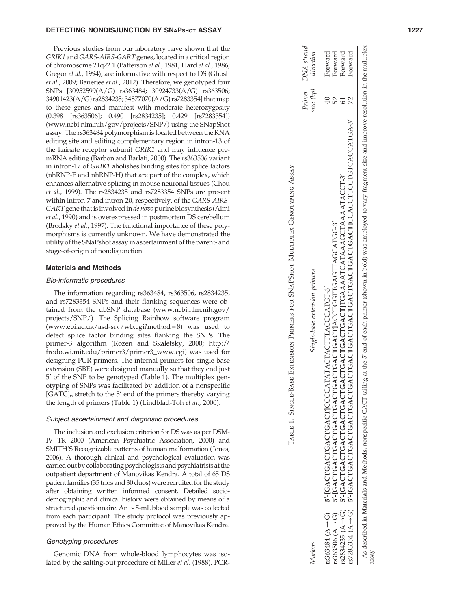#### DETECTING NONDISJUNCTION BY SNAPshot ASSAY NAMEL ASSAY AND RELEASED ASSAY A STATE OF A STATE OF A STATE OF A S

Previous studies from our laboratory have shown that the *GRIK1* and *GARS-AIRS-GART* genes, located in a critical region of chromosome 21q22.1 (Patterson *et al.*, 1981; Hard *et al.*, 1986; Gregor *et al.*, 1994), are informative with respect to DS (Ghosh *et al.*, 2009; Banerjee *et al.*, 2012). Therefore, we genotyped four SNPs [30952599(A/G) rs363484; 30924733(A/G) rs363506; 34901423(A/G) rs2834235; 34877070(A/G) rs7283354] that map to these genes and manifest with moderate heterozygosity (0.398 [rs363506]; 0.490 [rs2834235]; 0.429 [rs7283354]) (www.ncbi.nlm.nih/gov/projects/SNP/) using the SNapShot assay. The rs363484 polymorphism is located between the RNA editing site and editing complementary region in intron-13 of the kainate receptor subunit *GRIK1* and may influence premRNA editing (Barbon and Barlati, 2000). The rs363506 variant in intron-17 of *GRIK1* abolishes binding sites for splice factors (nhRNP-F and nhRNP-H) that are part of the complex, which enhances alternative splicing in mouse neuronal tissues (Chou *et al.*, 1999). The rs2834235 and rs7283354 SNPs are present within intron-7 and intron-20, respectively, of the *GARS-AIRS-GART*gene that is involved in *de novo* purine biosynthesis (Aimi *et al*., 1990) and is overexpressed in postmortem DS cerebellum (Brodsky *et al.*, 1997). The functional importance of these polymorphisms is currently unknown. We have demonstrated the utility of the SNaPshot assay in ascertainment of the parent- and stage-of-origin of nondisjunction.

#### Materials and Methods

# Bio-informatic procedures

The information regarding rs363484, rs363506, rs2834235, and rs7283354 SNPs and their flanking sequences were obtained from the dbSNP database (www.ncbi.nlm.nih.gov/ projects/SNP/). The Splicing Rainbow software program (www.ebi.ac.uk/asd-srv/wb.cgi?method = 8) was used to detect splice factor binding sites flanking the SNPs. The primer-3 algorithm (Rozen and Skaletsky, 2000; http:// frodo.wi.mit.edu/primer3/primer3\_www.cgi) was used for designing PCR primers. The internal primers for single-base extension (SBE) were designed manually so that they end just 5¢ of the SNP to be genotyped (Table 1). The multiplex genotyping of SNPs was facilitated by addition of a nonspecific [GATC]<sub>n</sub> stretch to the 5' end of the primers thereby varying the length of primers (Table 1) (Lindblad-Toh *et al.*, 2000).

#### Subject ascertainment and diagnostic procedures

The inclusion and exclusion criterion for DS was as per DSM-IV TR 2000 (American Psychiatric Association, 2000) and SMITH'S Recognizable patterns of human malformation ( Jones, 2006). A thorough clinical and psychological evaluation was carried out by collaborating psychologists and psychiatrists at the outpatient department of Manovikas Kendra. A total of 65 DS patient families (35 trios and 30 duos) were recruited for the study after obtaining written informed consent. Detailed sociodemographic and clinical history were obtained by means of a structured questionnaire. An  $\sim$  5-mL blood sample was collected from each participant. The study protocol was previously approved by the Human Ethics Committee of Manovikas Kendra.

# Genotyping procedures

Genomic DNA from whole-blood lymphocytes was isolated by the salting-out procedure of Miller *et al.* (1988). PCR-

| Markers | Single-base extension primers                                                       | Primer | DNA strand<br>size (bp) direction |
|---------|-------------------------------------------------------------------------------------|--------|-----------------------------------|
|         | rs363484 (A -> G )   5'-[GA CTGA CTGA CTGCATATA CTATA CTTA CCCATGT-3'               |        | Forward                           |
|         | rs363506 (A→G) 5'-[GACTGACTGACTGACTGACTGACTGACTIACCTGGTTGAGTTAGCATGG-3'             |        | Forward                           |
|         | rs2834235 (A → G)  5'-[GACTGACTGACTGACTGACTGACTGACTGACT]TGAAATCATAAACCTAAAATACCT-3' |        | Forward                           |
|         |                                                                                     | 2      | Forward                           |

Table 1. Single-Base Extension Primers for SNaPShot Multiplex Genotyping Assay

TABLE 1. SINGLE-BASE EXTENSION PRIMERS FOR SNAPSHOT MULTIPLEX GENOTYPING ASSAY

end of each primer (shown in bold) was employed to vary fragment size and improve resolution in the multiplex As described in Materials and Methods, nonspecific GACT tailing at the 5¢ end of each primer (shown in bold) was employed to vary fragment size and improve resolution in the multiplex As described in Materials and Methods, nonspecific GACT tailing at the 5' assay.

rs7283354 (A/G) 5¢-[GACTGACTGACTGACTGACTGACTGACTGACTGACTGACTGACTGACTGACT]CCACCTTCCTGTCACCATGA-3¢ 72 Forward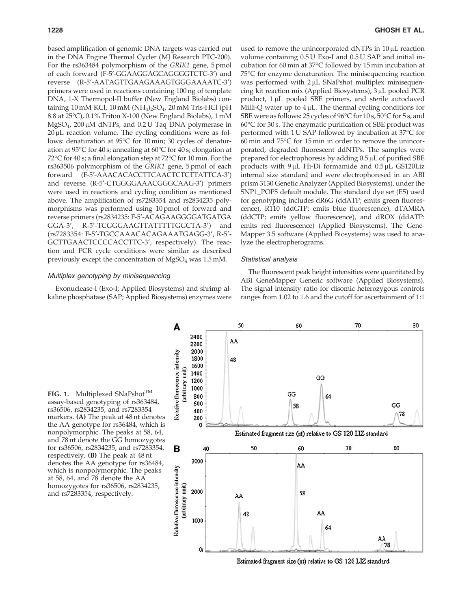based amplification of genomic DNA targets was carried out in the DNA Engine Thermal Cycler (MJ Research PTC-200). For the rs363484 polymorphism of the *GRIK1* gene, 5 pmol of each forward (F-5'-GGAAGGAGCAGGGGTCTC-3') and reverse (R-5<sup> $\prime$ </sup>-AATAGTTGAAGAAAGTGGGAAAATC-3<sup> $\prime$ </sup>) primers were used in reactions containing 100 ng of template DNA, 1-X Thermopol-II buffer (New England Biolabs) containing 10 mM KCl, 10 mM (NH<sup>4</sup> )2SO<sup>4</sup> , 20 mM Tris-HCl (pH 8.8 at  $25^{\circ}$ C), 0.1% Triton X-100 (New England Biolabs), 1 mM  $MgSO<sub>4</sub>$ , 200 µM dNTPs, and 0.2 U Taq DNA polymerase in  $20 \mu$ L reaction volume. The cycling conditions were as follows: denaturation at 95°C for 10 min; 30 cycles of denaturation at 95°C for 40 s; annealing at 60°C for 40 s; elongation at 72°C for 40 s; a final elongation step at 72°C for 10 min. For the rs363506 polymorphism of the *GRIK1* gene, 5 pmol of each forward (F-5'-AAACACACCTTCAACTCTCTTATTCA-3') and reverse (R-5'-CTGGGGAAACGGGCAAG-3') primers were used in reactions and cycling condition as mentioned above. The amplification of rs7283354 and rs2834235 polymorphisms was performed using 10 pmol of forward and reverse primers (rs2834235: F-5¢-ACAGAAGGGGATGATGA GGA-3', R-5'-TCGGGAAGTTATTTTTGGCTA-3') and (rs7283354: F-5'-TGCCAAACACAGAAATGAGG-3', R-5'-GCTTGAACTCCCCACCTTC-3', respectively). The reaction and PCR cycle conditions were similar as described previously except the concentration of MgSO<sup>4</sup> was 1.5 mM.

used to remove the unincorporated dNTPs in  $10 \mu$ L reaction volume containing 0.5 U Exo-I and 0.5 U SAP and initial incubation for 60 min at 37°C followed by 15 min incubation at 75°C for enzyme denaturation. The minisequencing reaction was performed with  $2 \mu L$  SNaPshot multiplex minisequencing kit reaction mix (Applied Biosystems),  $3 \mu L$  pooled PCR product,  $1 \mu L$  pooled SBE primers, and sterile autoclaved Milli-Q water up to  $4 \mu L$ . The thermal cycling conditions for SBE were as follows: 25 cycles of  $96^{\circ}$ C for  $10 s$ ,  $50^{\circ}$ C for 5 s, and 60°C for 30 s. The enzymatic purification of SBE product was performed with 1 U SAP followed by incubation at 37°C for  $60$  min and  $75^{\circ}$ C for 15 min in order to remove the unincorporated, degraded fluorescent ddNTPs. The samples were prepared for electrophoresis by adding  $0.5 \mu L$  of purified SBE products with  $9 \mu L$  Hi-Di formamide and  $0.5 \mu L$  GS120Liz internal size standard and were electrophoresed in an ABI prism 3130 Genetic Analyzer (Applied Biosystems), under the SNP1\_POP5 default module. The standard dye set (E5) used for genotyping includes dR6G (ddATP; emits green fluorescence), R110 (ddGTP; emits blue fluorescence), dTAMRA (ddCTP; emits yellow fluorescence), and dROX (ddATP: emits red fluorescence) (Applied Biosystems). The Gene-Mapper 3.5 software (Applied Biosystems) was used to analyze the electropherograms.

# Statistical analysis

# Multiplex genotyping by minisequencing

Exonuclease-I (Exo-I; Applied Biosystems) and shrimp alkaline phosphatase (SAP; Applied Biosystems) enzymes were

The fluorescent peak height intensities were quantitated by ABI GeneMapper Generic software (Applied Biosystems). The signal intensity ratio for disomic heterozygous controls ranges from 1.02 to 1.6 and the cutoff for ascertainment of 1:1

FIG. 1. Multiplexed SNaPshot<sup>TM</sup> assay-based genotyping of rs363484, rs36506, rs2834235, and rs7283354 markers. (A) The peak at 48 nt denotes the AA genotype for rs36484, which is nonpolymorphic. The peaks at 58, 64, and 78 nt denote the GG homozygotes for rs36506, rs2834235, and rs7283354, respectively. (B) The peak at 48 nt denotes the AA genotype for rs36484, which is nonpolymorphic. The peaks at 58, 64, and 78 denote the AA homozygotes for rs36506, rs2834235, and rs7283354, respectively.



Estimated fragment size (nt) relative to GS 120 LIZ standard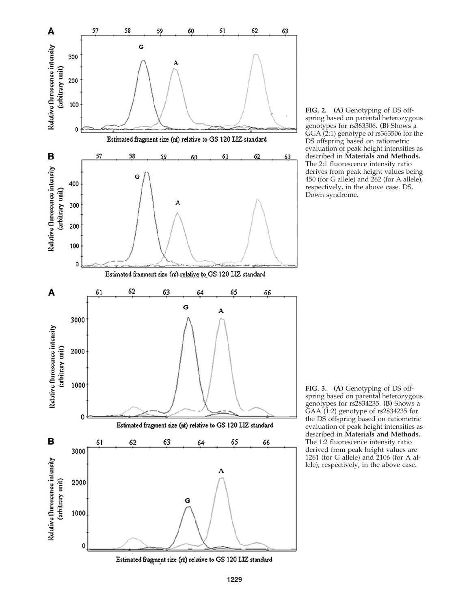

FIG. 2. (A) Genotyping of DS offspring based on parental heterozygous genotypes for rs363506. (B) Shows a GGA (2:1) genotype of rs363506 for the DS offspring based on ratiometric evaluation of peak height intensities as described in Materials and Methods. The 2:1 fluorescence intensity ratio derives from peak height values being 450 (for G allele) and 262 (for A allele), respectively, in the above case. DS, Down syndrome.

FIG. 3. (A) Genotyping of DS offspring based on parental heterozygous genotypes for rs2834235. (B) Shows a GAA (1:2) genotype of rs2834235 for the DS offspring based on ratiometric evaluation of peak height intensities as described in Materials and Methods. The 1:2 fluorescence intensity ratio derived from peak height values are 1261 (for G allele) and 2106 (for A allele), respectively, in the above case.

Estimated fragment size (nt) relative to GS 120 LIZ standard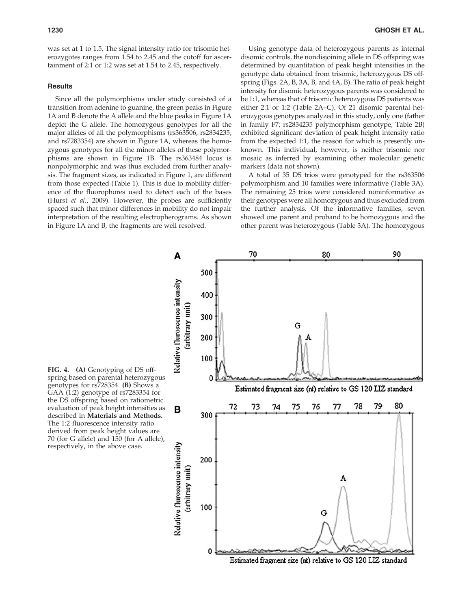was set at 1 to 1.5. The signal intensity ratio for trisomic heterozygotes ranges from 1.54 to 2.45 and the cutoff for ascertainment of 2:1 or 1:2 was set at 1.54 to 2.45, respectively.

### **Results**

Since all the polymorphisms under study consisted of a transition from adenine to guanine, the green peaks in Figure 1A and B denote the A allele and the blue peaks in Figure 1A depict the G allele. The homozygous genotypes for all the major alleles of all the polymorphisms (rs363506, rs2834235, and rs7283354) are shown in Figure 1A, whereas the homozygous genotypes for all the minor alleles of these polymorphisms are shown in Figure 1B. The rs363484 locus is nonpolymorphic and was thus excluded from further analysis. The fragment sizes, as indicated in Figure 1, are different from those expected (Table 1). This is due to mobility difference of the fluorophores used to detect each of the bases (Hurst *et al.*, 2009). However, the probes are sufficiently spaced such that minor differences in mobility do not impair interpretation of the resulting electropherograms. As shown in Figure 1A and B, the fragments are well resolved.

Using genotype data of heterozygous parents as internal disomic controls, the nondisjoining allele in DS offspring was determined by quantitation of peak height intensities in the genotype data obtained from trisomic, heterozygous DS offspring (Figs. 2A, B, 3A, B, and 4A, B). The ratio of peak height intensity for disomic heterozygous parents was considered to be 1:1, whereas that of trisomic heterozygous DS patients was either 2:1 or 1:2 (Table 2A–C). Of 21 disomic parental heterozygous genotypes analyzed in this study, only one (father in family F7; rs2834235 polymorphism genotype; Table 2B) exhibited significant deviation of peak height intensity ratio from the expected 1:1, the reason for which is presently unknown. This individual, however, is neither trisomic nor mosaic as inferred by examining other molecular genetic markers (data not shown).

A total of 35 DS trios were genotyped for the rs363506 polymorphism and 10 families were informative (Table 3A). The remaining 25 trios were considered noninformative as their genotypes were all homozygous and thus excluded from the further analysis. Of the informative families, seven showed one parent and proband to be homozygous and the other parent was heterozygous (Table 3A). The homozygous



FIG. 4. (A) Genotyping of DS offspring based on parental heterozygous genotypes for rs728354. (B) Shows a GAA (1:2) genotype of rs7283354 for the DS offspring based on ratiometric evaluation of peak height intensities as described in Materials and Methods. The 1:2 fluorescence intensity ratio derived from peak height values are 70 (for G allele) and 150 (for A allele), respectively, in the above case.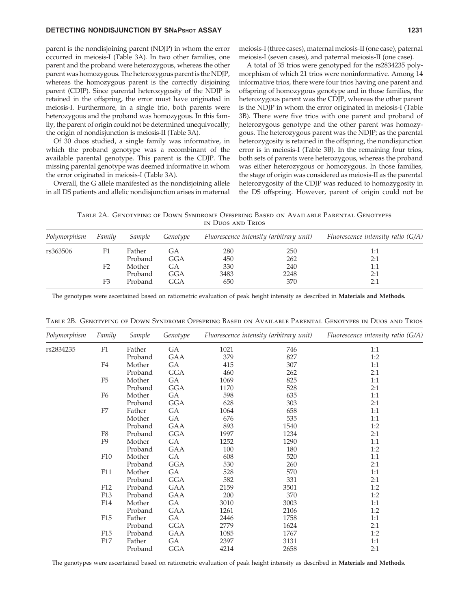# DETECTING NONDISJUNCTION BY SNAPSHOT ASSAY 1231

parent is the nondisjoining parent (NDJP) in whom the error occurred in meiosis-I (Table 3A). In two other families, one parent and the proband were heterozygous, whereas the other parent was homozygous. The heterozygous parent is the NDJP, whereas the homozygous parent is the correctly disjoining parent (CDJP). Since parental heterozygosity of the NDJP is retained in the offspring, the error must have originated in meiosis-I. Furthermore, in a single trio, both parents were heterozygous and the proband was homozygous. In this family, the parent of origin could not be determined unequivocally; the origin of nondisjunction is meiosis-II (Table 3A).

Of 30 duos studied, a single family was informative, in which the proband genotype was a recombinant of the available parental genotype. This parent is the CDJP. The missing parental genotype was deemed informative in whom the error originated in meiosis-I (Table 3A).

Overall, the G allele manifested as the nondisjoining allele in all DS patients and allelic nondisjunction arises in maternal

meiosis-I (three cases), maternal meiosis-II (one case), paternal meiosis-I (seven cases), and paternal meiosis-II (one case).

A total of 35 trios were genotyped for the rs2834235 polymorphism of which 21 trios were noninformative. Among 14 informative trios, there were four trios having one parent and offspring of homozygous genotype and in those families, the heterozygous parent was the CDJP, whereas the other parent is the NDJP in whom the error originated in meiosis-I (Table 3B). There were five trios with one parent and proband of heterozygous genotype and the other parent was homozygous. The heterozygous parent was the NDJP; as the parental heterozygosity is retained in the offspring, the nondisjunction error is in meiosis-I (Table 3B). In the remaining four trios, both sets of parents were heterozygous, whereas the proband was either heterozygous or homozygous. In those families, the stage of origin was considered as meiosis-II as the parental heterozygosity of the CDJP was reduced to homozygosity in the DS offspring. However, parent of origin could not be

Table 2A. Genotyping of Down Syndrome Offspring Based on Available Parental Genotypes in Duos and Trios

| Polymorphism | Family         | Sample  | Genotype |      | Fluorescence intensity (arbitrary unit) | Fluorescence intensity ratio $(G/A)$ |
|--------------|----------------|---------|----------|------|-----------------------------------------|--------------------------------------|
| rs363506     | F1             | Father  | GА       | 280  | 250                                     | 1:1                                  |
|              |                | Proband | GGA      | 450  | 262                                     | 2:1                                  |
|              | F <sub>2</sub> | Mother  | GA       | 330  | 240                                     | 1:1                                  |
|              |                | Proband | GGA      | 3483 | 2248                                    | 2:1                                  |
|              | F3             | Proband | GGA      | 650  | 370                                     | 2:1                                  |

The genotypes were ascertained based on ratiometric evaluation of peak height intensity as described in Materials and Methods.

| Polymorphism | Family          | Sample  | Genotype |      | Fluorescence intensity (arbitrary unit) | Fluorescence intensity ratio (G/A) |
|--------------|-----------------|---------|----------|------|-----------------------------------------|------------------------------------|
| rs2834235    | F1              | Father  | GA       | 1021 | 746                                     | 1:1                                |
|              |                 | Proband | GAA      | 379  | 827                                     | 1:2                                |
|              | F4              | Mother  | GA       | 415  | 307                                     | 1:1                                |
|              |                 | Proband | GGA      | 460  | 262                                     | 2:1                                |
|              | F <sub>5</sub>  | Mother  | GA       | 1069 | 825                                     | 1:1                                |
|              |                 | Proband | GGA      | 1170 | 528                                     | 2:1                                |
|              | F <sub>6</sub>  | Mother  | GA       | 598  | 635                                     | 1:1                                |
|              |                 | Proband | GGA      | 628  | 303                                     | 2:1                                |
|              | F7              | Father  | GA       | 1064 | 658                                     | 1:1                                |
|              |                 | Mother  | GA       | 676  | 535                                     | 1:1                                |
|              |                 | Proband | GAA      | 893  | 1540                                    | 1:2                                |
|              | ${\rm F}8$      | Proband | GGA      | 1997 | 1234                                    | 2:1                                |
|              | F <sub>9</sub>  | Mother  | GA       | 1252 | 1290                                    | 1:1                                |
|              |                 | Proband | GAA      | 100  | 180                                     | 1:2                                |
|              | F10             | Mother  | GA       | 608  | 520                                     | 1:1                                |
|              |                 | Proband | GGA      | 530  | 260                                     | 2:1                                |
|              | F11             | Mother  | GA       | 528  | 570                                     | 1:1                                |
|              |                 | Proband | GGA      | 582  | 331                                     | 2:1                                |
|              | F12             | Proband | GAA      | 2159 | 3501                                    | 1:2                                |
|              | F13             | Proband | GAA      | 200  | 370                                     | 1:2                                |
|              | F14             | Mother  | GA       | 3010 | 3003                                    | 1:1                                |
|              |                 | Proband | GAA      | 1261 | 2106                                    | 1:2                                |
|              | F <sub>15</sub> | Father  | GA       | 2446 | 1758                                    | 1:1                                |
|              |                 | Proband | GGA      | 2779 | 1624                                    | 2:1                                |
|              | F <sub>15</sub> | Proband | GAA      | 1085 | 1767                                    | 1:2                                |
|              | F17             | Father  | GA       | 2397 | 3131                                    | 1:1                                |
|              |                 | Proband | GGA      | 4214 | 2658                                    | 2:1                                |

Table 2B. Genotyping of Down Syndrome Offspring Based on Available Parental Genotypes in Duos and Trios

The genotypes were ascertained based on ratiometric evaluation of peak height intensity as described in Materials and Methods.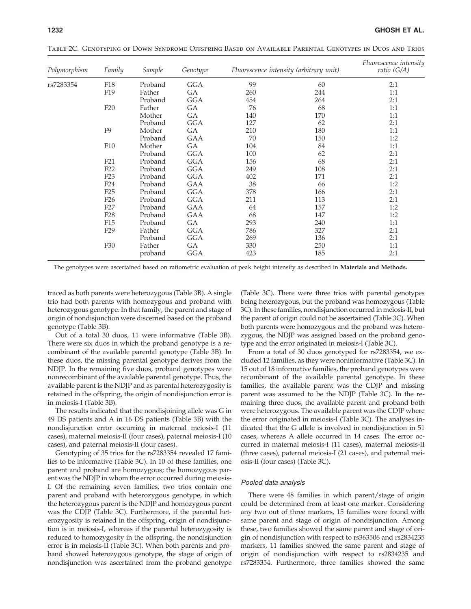| Polymorphism | Family<br>F18   | Sample<br>Proband | Genotype<br>GGA | Fluorescence intensity (arbitrary unit) | <i>Fluorescence intensity</i><br>ratio $(G/A)$ |     |
|--------------|-----------------|-------------------|-----------------|-----------------------------------------|------------------------------------------------|-----|
| rs7283354    |                 |                   |                 | 99                                      | 60                                             | 2:1 |
|              | F19             | Father            | GА              | 260                                     | 244                                            | 1:1 |
|              |                 | Proband           | GGA             | 454                                     | 264                                            | 2:1 |
|              | F20             | Father            | GА              | 76                                      | 68                                             | 1:1 |
|              |                 | Mother            | GА              | 140                                     | 170                                            | 1:1 |
|              |                 | Proband           | GGA             | 127                                     | 62                                             | 2:1 |
|              | F <sub>9</sub>  | Mother            | GА              | 210                                     | 180                                            | 1:1 |
|              |                 | Proband           | GAA             | 70                                      | 150                                            | 1:2 |
|              | F <sub>10</sub> | Mother            | GА              | 104                                     | 84                                             | 1:1 |
|              |                 | Proband           | GGA             | 100                                     | 62                                             | 2:1 |
|              | F21             | Proband           | GGA             | 156                                     | 68                                             | 2:1 |
|              | F <sub>22</sub> | Proband           | GGA             | 249                                     | 108                                            | 2:1 |
|              | F <sub>23</sub> | Proband           | GGA             | 402                                     | 171                                            | 2:1 |
|              | F <sub>24</sub> | Proband           | GAA             | 38                                      | 66                                             | 1:2 |
|              | F25             | Proband           | GGA             | 378                                     | 166                                            | 2:1 |
|              | F <sub>26</sub> | Proband           | GGA             | 211                                     | 113                                            | 2:1 |
|              | F27             | Proband           | GAA             | 64                                      | 157                                            | 1:2 |
|              | F <sub>28</sub> | Proband           | GAA             | 68                                      | 147                                            | 1:2 |
|              | F15             | Proband           | GА              | 293                                     | 240                                            | 1:1 |
|              | F <sub>29</sub> | Father            | GGA             | 786                                     | 327                                            | 2:1 |
|              |                 | Proband           | GGA             | 269                                     | 136                                            | 2:1 |
|              | F30             | Father            | GА              | 330                                     | 250                                            | 1:1 |
|              |                 | proband           | GGA             | 423                                     | 185                                            | 2:1 |

Table 2C. Genotyping of Down Syndrome Offspring Based on Available Parental Genotypes in Duos and Trios

The genotypes were ascertained based on ratiometric evaluation of peak height intensity as described in Materials and Methods.

traced as both parents were heterozygous (Table 3B). A single trio had both parents with homozygous and proband with heterozygous genotype. In that family, the parent and stage of origin of nondisjunction were discerned based on the proband genotype (Table 3B).

Out of a total 30 duos, 11 were informative (Table 3B). There were six duos in which the proband genotype is a recombinant of the available parental genotype (Table 3B). In these duos, the missing parental genotype derives from the NDJP. In the remaining five duos, proband genotypes were nonrecombinant of the available parental genotype. Thus, the available parent is the NDJP and as parental heterozygosity is retained in the offspring, the origin of nondisjunction error is in meiosis-I (Table 3B).

The results indicated that the nondisjoining allele was G in 49 DS patients and A in 16 DS patients (Table 3B) with the nondisjunction error occurring in maternal meiosis-I (11 cases), maternal meiosis-II (four cases), paternal meiosis-I (10 cases), and paternal meiosis-II (four cases).

Genotyping of 35 trios for the rs7283354 revealed 17 families to be informative (Table 3C). In 10 of these families, one parent and proband are homozygous; the homozygous parent was the NDJP in whom the error occurred during meiosis-I. Of the remaining seven families, two trios contain one parent and proband with heterozygous genotype, in which the heterozygous parent is the NDJP and homozygous parent was the CDJP (Table 3C). Furthermore, if the parental heterozygosity is retained in the offspring, origin of nondisjunction is in meiosis-I, whereas if the parental heterozygosity is reduced to homozygosity in the offspring, the nondisjunction error is in meiosis-II (Table 3C). When both parents and proband showed heterozygous genotype, the stage of origin of nondisjunction was ascertained from the proband genotype (Table 3C). There were three trios with parental genotypes being heterozygous, but the proband was homozygous (Table 3C). In these families, nondisjunction occurred in meiosis-II, but the parent of origin could not be ascertained (Table 3C). When both parents were homozygous and the proband was heterozygous, the NDJP was assigned based on the proband genotype and the error originated in meiosis-I (Table 3C).

From a total of 30 duos genotyped for rs7283354, we excluded 12 families, as they were noninformative (Table 3C). In 15 out of 18 informative families, the proband genotypes were recombinant of the available parental genotype. In these families, the available parent was the CDJP and missing parent was assumed to be the NDJP (Table 3C). In the remaining three duos, the available parent and proband both were heterozygous. The available parent was the CDJP where the error originated in meiosis-I (Table 3C). The analyses indicated that the G allele is involved in nondisjunction in 51 cases, whereas A allele occurred in 14 cases. The error occurred in maternal meiosis-I (11 cases), maternal meiosis-II (three cases), paternal meiosis-I (21 cases), and paternal meiosis-II (four cases) (Table 3C).

#### Pooled data analysis

There were 48 families in which parent/stage of origin could be determined from at least one marker. Considering any two out of three markers, 15 families were found with same parent and stage of origin of nondisjunction. Among these, two families showed the same parent and stage of origin of nondisjunction with respect to rs363506 and rs2834235 markers, 11 families showed the same parent and stage of origin of nondisjunction with respect to rs2834235 and rs7283354. Furthermore, three families showed the same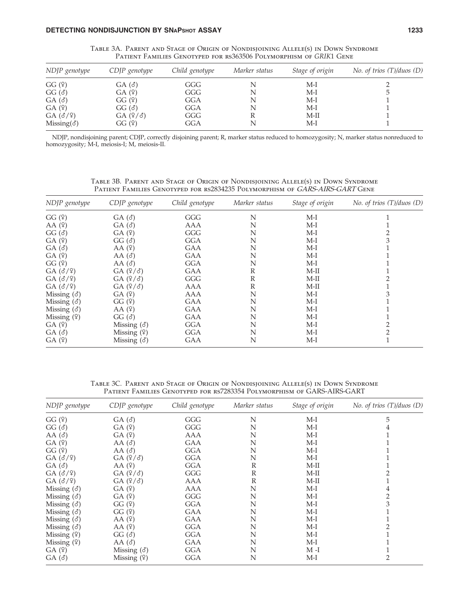| NDJP genotype       | $CDIP$ genotype | Child genotype | Marker status | Stage of origin | No. of trios $(T)/d$ uos $(D)$ |
|---------------------|-----------------|----------------|---------------|-----------------|--------------------------------|
| GG(9)               | $GA(\delta)$    | GGG            |               | M-I             |                                |
| $GG(\delta)$        | GA(9)           | GGG            |               | $M-I$           | 5                              |
| $GA(\delta)$        | GG(9)           | GGA            |               | M-I             |                                |
| GA(9)               | $GG(\delta)$    | GGA            | N             | $M-I$           |                                |
| $GA( \delta / 9)$   | GA(9/3)         | GGG            |               | $M-II$          |                                |
| Missing( $\delta$ ) | GG (º)          | GGA            |               | M-I             |                                |

Table 3A. Parent and Stage of Origin of Nondisjoining Allele(s) in Down Syndrome Patient Families Genotyped for rs363506 Polymorphism of *GRIK*1 Gene

NDJP, nondisjoining parent; CDJP, correctly disjoining parent; R, marker status reduced to homozygosity; N, marker status nonreduced to homozygosity; M-I, meiosis-I; M, meiosis-II.

*NDJP genotype CDJP genotype Child genotype Marker status Stage of origin No. of trios (T)/duos (D)*  $GG \text{ } (\text{?})$   $GA \text{ } (\text{d)}$   $GGG$  N M-I 1  $(A \circ (9)$  GA  $(\check{\sigma})$  AAA N M-I 1  $GG$   $(\check{\sigma})$   $GA$   $(\check{\sigma})$   $GGG$  N M-I 2  $G(A \nvert \varphi)$   $G(G \nvert \varphi)$   $GGA$  N M-I 3  $GA(\vec{\delta})$   $AA(\vec{\epsilon})$   $GAA$  N  $M-I$  1  $GA (\hat{Y})$   $AA (\hat{d})$   $GAA$  N  $M-I$  1  $GG \ (9)$  AA  $(\delta)$  GGA N M-I 1  $GA(\vec{\delta}/\mathfrak{P})$   $GA(\vec{\mathfrak{P}}/\vec{\delta})$   $GAA$  R M-II 1  $GA(\delta/\mathfrak{P})$   $GA(\mathfrak{P}/\delta)$   $GGG$  R M-II 2  $GA(\delta/\mathfrak{P})$   $GA(\mathfrak{P}/\delta)$   $AAA$  R M-II 1 Missing  $(\delta)$  GA  $(\hat{Y})$  AAA N M-I 3 Missing  $(\delta)$  GG  $(\hat{P})$  GAA N M-I 1 Missing (3) GG (2) GAA N M-I 1<br>Missing (3) AA (2) GAA N M-I 1<br>Missing (2) GG (3) GAA N M-I 1 Missing  $(\hat{Y})$  GG  $(\hat{\sigma})$  GGA N M-I 1<br>GA  $(\hat{Y})$  Missing  $(\hat{\sigma})$  GGA N M-I 2  $GA \text{ } (\text{?})$  Missing  $(\text{?})$  GGA N M-I 2  $GA(\vec{\delta})$  Missing  $(\hat{Y})$  GGA N M-I 2  $GA \ (2)$  Missing  $(\delta)$  GAA N M-I 1

Table 3B. Parent and Stage of Origin of Nondisjoining Allele(s) in Down Syndrome Patient Families Genotyped for rs2834235 Polymorphism of GARS-AIRS-GART Gene

Table 3C. Parent and Stage of Origin of Nondisjoining Allele(s) in Down Syndrome Patient Families Genotyped for rs7283354 Polymorphism of GARS-AIRS-GART

| NDJP genotype         | CDJP genotype      | Child genotype | Marker status | Stage of origin | No. of trios $(T)/d$ uos $(D)$ |
|-----------------------|--------------------|----------------|---------------|-----------------|--------------------------------|
| GG(9)                 | $GA(\delta)$       | GGG            | N             | $M-I$           | 5                              |
| $GG(\delta)$          | GA(9)              | GGG            | N             | $M-I$           | 4                              |
| AA $(\delta)$         | GA(9)              | <b>AAA</b>     | N             | $M-I$           |                                |
| GA(9)                 | AA $(\delta)$      | GAA            | N             | $M-I$           |                                |
| GG(9)                 | AA $(\delta)$      | <b>GGA</b>     | N             | $M-I$           |                                |
| $GA(\delta/\varphi)$  | GA(9/3)            | GGA            | N             | $M-I$           |                                |
| $GA(\delta)$          | AA(9)              | GGA            | $\mathbb{R}$  | $M-II$          |                                |
| GA(3/9)               | $GA(2/\delta)$     | GGG            | $\mathbb{R}$  | $M-II$          |                                |
| $GA(\delta/\varphi)$  | $GA(2/\delta)$     | AAA            | R             | M-II            |                                |
| Missing $($ $\delta)$ | GA(9)              | <b>AAA</b>     | N             | $M-I$           | 4                              |
| Missing $($ $\delta)$ | GA(9)              | GGG            | N             | $M-I$           | 2                              |
| Missing $(\delta)$    | GG(9)              | <b>GGA</b>     | N             | $M-I$           | 3                              |
| Missing $(\delta)$    | GG(9)              | GAA            | N             | $M-I$           |                                |
| Missing $($ $\delta)$ | AA(9)              | GAA            | N             | $M-I$           |                                |
| Missing $(\delta)$    | AA(9)              | <b>GGA</b>     | N             | $M-I$           |                                |
| Missing $(9)$         | $GG( \delta )$     | GGA            | N             | $M-I$           |                                |
| Missing $(9)$         | AA $(\delta)$      | GAA            | N             | $M-I$           |                                |
| GA(9)                 | Missing $(\delta)$ | GGA            | N             | $M-I$           |                                |
| GA(3)                 | Missing $(9)$      | GGA            | N             | $M-I$           | 2                              |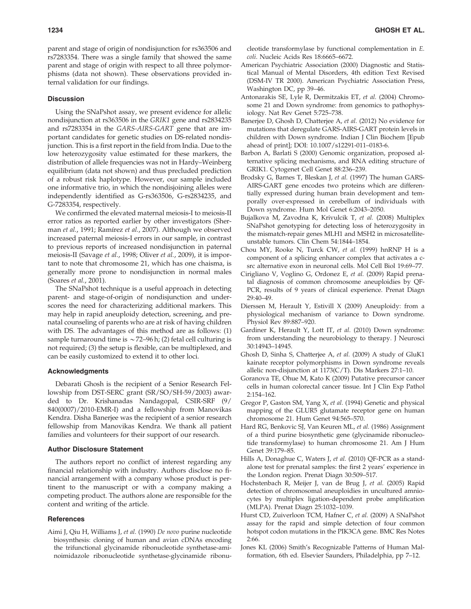parent and stage of origin of nondisjunction for rs363506 and rs7283354. There was a single family that showed the same parent and stage of origin with respect to all three polymorphisms (data not shown). These observations provided internal validation for our findings.

#### **Discussion**

Using the SNaPshot assay, we present evidence for allelic nondisjunction at rs363506 in the *GRIK1* gene and rs2834235 and rs7283354 in the *GARS-AIRS-GART* gene that are important candidates for genetic studies on DS-related nondisjunction. This is a first report in the field from India. Due to the low heterozygosity value estimated for these markers, the distribution of allele frequencies was not in Hardy–Weinberg equilibrium (data not shown) and thus precluded prediction of a robust risk haplotype. However, our sample included one informative trio, in which the nondisjoining alleles were independently identified as G-rs363506, G-rs2834235, and G-7283354, respectively.

We confirmed the elevated maternal meiosis-I to meiosis-II error ratios as reported earlier by other investigators (Sherman *et al.*, 1991; Ramı´rez *et al.*, 2007). Although we observed increased paternal meiosis-I errors in our sample, in contrast to previous reports of increased nondisjunction in paternal meiosis-II (Savage *et al.*, 1998; Oliver *et al.*, 2009), it is important to note that chromosome 21, which has one chaisma, is generally more prone to nondisjunction in normal males (Soares *et al.*, 2001).

The SNaPshot technique is a useful approach in detecting parent- and stage-of-origin of nondisjunction and underscores the need for characterizing additional markers. This may help in rapid aneuploidy detection, screening, and prenatal counseling of parents who are at risk of having children with DS. The advantages of this method are as follows: (1) sample turnaround time is  $\sim$  72–96 h; (2) fetal cell culturing is not required; (3) the setup is flexible, can be multiplexed, and can be easily customized to extend it to other loci.

# Acknowledgments

Debarati Ghosh is the recipient of a Senior Research Fellowship from DST-SERC grant (SR/SO/SH-59/2003) awarded to Dr. Krishanadas Nandagopal, CSIR-SRF (9/ 840(0007)/2010-EMR-I) and a fellowship from Manovikas Kendra. Disha Banerjee was the recipient of a senior research fellowship from Manovikas Kendra. We thank all patient families and volunteers for their support of our research.

## Author Disclosure Statement

The authors report no conflict of interest regarding any financial relationship with industry. Authors disclose no financial arrangement with a company whose product is pertinent to the manuscript or with a company making a competing product. The authors alone are responsible for the content and writing of the article.

# **References**

Aimi J, Qiu H, Williams J, *et al.* (1990) *De novo* purine nucleotide biosynthesis: cloning of human and avian cDNAs encoding the trifunctional glycinamide ribonucleotide synthetase-aminoimidazole ribonucleotide synthetase-glycinamide ribonucleotide transformylase by functional complementation in *E. coli*. Nucleic Acids Res 18:6665–6672.

- American Psychiatric Association (2000) Diagnostic and Statistical Manual of Mental Disorders, 4th edition Text Revised (DSM-IV TR 2000). American Psychiatric Association Press, Washington DC, pp 39–46.
- Antonarakis SE, Lyle R, Dermitzakis ET, *et al.* (2004) Chromosome 21 and Down syndrome: from genomics to pathophysiology. Nat Rev Genet 5:725–738.
- Banerjee D, Ghosh D, Chatterjee A, *et al.* (2012) No evidence for mutations that deregulate GARS-AIRS-GART protein levels in children with Down syndrome. Indian J Clin Biochem [Epub ahead of print]; DOI: 10.1007/s12291-011–0183-6.
- Barbon A, Barlati S (2000) Genomic organization, proposed alternative splicing mechanisms, and RNA editing structure of GRIK1. Cytogenet Cell Genet 88:236–239.
- Brodsky G, Barnes T, Bleskan J, *et al.* (1997) The human GARS-AIRS-GART gene encodes two proteins which are differentially expressed during human brain development and temporally over-expressed in cerebellum of individuals with Down syndrome. Hum Mol Genet 6:2043–2050.
- Bujalkova M, Zavodna K, Krivulcik T, *et al.* (2008) Multiplex SNaPshot genotyping for detecting loss of heterozygosity in the mismatch-repair genes MLH1 and MSH2 in microsatelliteunstable tumors. Clin Chem 54:1844–1854.
- Chou MY, Rooke N, Turck CW, *et al.* (1999) hnRNP H is a component of a splicing enhancer complex that activates a csrc alternative exon in neuronal cells. Mol Cell Biol 19:69–77.
- Cirigliano V, Voglino G, Ordonez E, *et al.* (2009) Rapid prenatal diagnosis of common chromosome aneuploidies by QF-PCR, results of 9 years of clinical experience. Prenat Diagn 29:40–49.
- Dierssen M, Herault Y, Estivill X (2009) Aneuploidy: from a physiological mechanism of variance to Down syndrome. Physiol Rev 89:887–920.
- Gardiner K, Herault Y, Lott IT, *et al.* (2010) Down syndrome: from understanding the neurobiology to therapy. J Neurosci 30:14943–14945.
- Ghosh D, Sinha S, Chatterjee A, *et al.* (2009) A study of GluK1 kainate receptor polymorphisms in Down syndrome reveals allelic non-disjunction at 1173(C/T). Dis Markers 27:1–10.
- Goranova TE, Ohue M, Kato K (2009) Putative precursor cancer cells in human colorectal cancer tissue. Int J Clin Exp Pathol 2:154–162.
- Gregor P, Gaston SM, Yang X, *et al.* (1994) Genetic and physical mapping of the GLUR5 glutamate receptor gene on human chromosome 21. Hum Genet 94:565–570.
- Hard RG, Benkovic SJ, Van Keuren ML, *et al.* (1986) Assignment of a third purine biosynthetic gene (glycinamide ribonucleotide transformylase) to human chromosome 21. Am J Hum Genet 39:179–85.
- Hills A, Donaghue C, Waters J, *et al.* (2010) QF-PCR as a standalone test for prenatal samples: the first 2 years' experience in the London region. Prenat Diagn 30:509–517.
- Hochstenbach R, Meijer J, van de Brug J, *et al.* (2005) Rapid detection of chromosomal aneuploidies in uncultured amniocytes by multiplex ligation-dependent probe amplification (MLPA). Prenat Diagn 25:1032–1039.
- Hurst CD, Zuiverloon TCM, Hafner C, *et al.* (2009) A SNaPshot assay for the rapid and simple detection of four common hotspot codon mutations in the PIK3CA gene. BMC Res Notes 2:66.
- Jones KL (2006) Smith's Recognizable Patterns of Human Malformation, 6th ed. Elsevier Saunders, Philadelphia, pp 7–12.